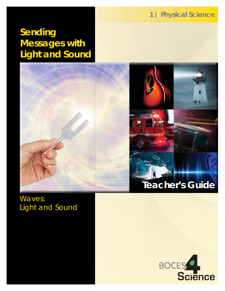# **Sending Messages with Light and Sound**



## Waves: Light and Sound



**Teacher's Guide**

## **1** *| Physical Science*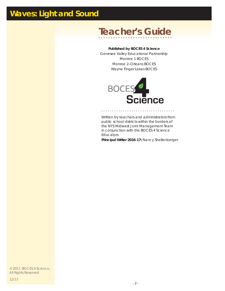# **Teacher's Guide**

#### **Published by BOCES 4 Science**

Genesee Valley Educational Partnership Monroe 1 BOCES Monroe 2–Orleans BOCES Wayne Finger Lakes BOCES



Written by teachers and administrators from public school districts within the borders of the NYS Midwest Joint Management Team in conjunction with the BOCES 4 Science Educators

**Principal Writer 2016-17:** Nancy Shellenberger

*© 2017, BOCES 4 Science, All Rights Reserved*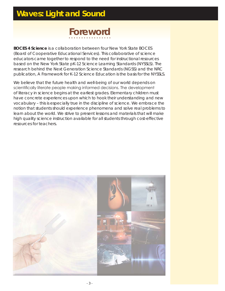# **Foreword**

**BOCES 4 Science** is a collaboration between four New York State BOCES (Board of Cooperative Educational Services). This collaborative of science educators came together to respond to the need for instructional resources based on the New York State pK-12 Science Learning Standards (NYSSLS). The research behind the Next Generation Science Standards (NGSS) and the NRC publication, A Framework for K-12 Science Education is the basis for the NYSSLS.

We believe that the future health and well-being of our world depends on scientifically literate people making informed decisions. The development of literacy in science begins at the earliest grades. Elementary children must have concrete experiences upon which to hook their understanding and new vocabulary – this is especially true in the discipline of science. We embrace the notion that students should experience phenomena and solve real problems to learn about the world. We strive to present lessons and materials that will make high quality science instruction available for all students through cost-effective resources for teachers.

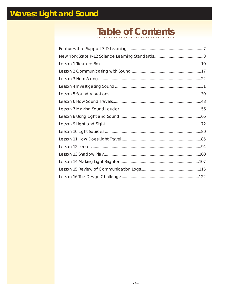# **Table of Contents**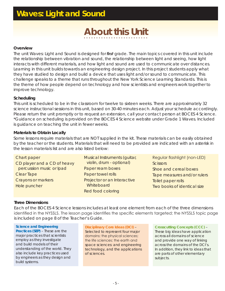# **About this Unit**

#### **Overview**

The unit Waves: Light and Sound is designed for *first* grade. The main topics covered in this unit include the relationship between vibration and sound, the relationship between light and seeing, how light interacts with different materials, and how light and sound are used to communicate over distances. Learning in this unit builds towards an engineering design project. In this project students apply what they have studied to design and build a device that uses light and/or sound to communicate. This challenge speaks to a theme that runs throughout the New York Science Learning Standards. This is the theme of how people depend on technology and how scientists and engineers work together to improve technology.

#### **Scheduling**

This unit is scheduled to be in the classroom for twelve to sixteen weeks. There are approximately 32 science instructional sessions in this unit, based on 30-40 minutes each. Adjust your schedule accordingly. Please return the unit promptly or to request an extension, call your contact person at BOCES 4 Science. \*Guidance on scheduling is provided on the BOCES 4 Science website under Grade 1 Waves. Included is guidance on teaching the unit in fewer weeks.

#### **Materials to Obtain Locally**

Some lessons require materials that are NOT supplied in the kit. These materials can be easily obtained by the teacher or the students. Materials that will need to be provided are indicated with an asterisk in the lesson materials list and are also listed below:

| Chart paper                 | Musical Instruments (guitar, | Regular flashlight (non-LED) |
|-----------------------------|------------------------------|------------------------------|
| CD player and a CD of heavy | violin, drum - optional)     | <b>Scissors</b>              |
| percussion music or Ipad    | Paper ream boxes             | Shoe and cereal boxes        |
| <b>Clear Tape</b>           | Paper towel rolls            | Tape measures and/or rulers  |
| <b>Crayons or markers</b>   | Projector or an Interactive  | Toilet paper rolls           |
| Hole puncher                | Whiteboard                   | Two books of identical size  |
|                             | Red food coloring            |                              |

#### **Three Dimensions**

Each of the BOCES 4 Science lessons includes at least one element from each of the three dimensions identified in the NYSSLS. The lesson page identifies the specific elements targeted; the NYSSLS topic page is included on page 8 of the Teacher's Guide.

#### **Science and Engineering**

**Practices (SEP)** – These are the major practices that scientists employ as they investigate and build models of their understanding of the world. They also include key practices used by engineers as they design and build systems.

#### **Disciplinary Core Ideas (DCI)** –

Selected to represent four major domains: the physical sciences; the life sciences; the earth and space sciences: and engineering technology, and the applications of sciences.

#### **Crosscutting Concepts (CCC)** –

These big ideas have application across all domains of science and provide one way of linking across the domains of the DCI's. In addition, they link to ideas that are parts of other elementary subjects.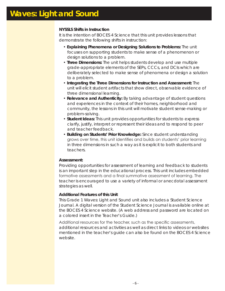### **NYSSLS Shifts in Instruction**

It is the intention of BOCES 4 Science that this unit provides lessons that demonstrate the following shifts in instruction:

- **Explaining Phenomena or Designing Solutions to Problems:** The unit focuses on supporting students to make sense of a phenomenon or design solutions to a problem.
- **Three Dimensions:** The unit helps students develop and use multiple grade-appropriate elements of the SEPs, CCCs, and DCIs which are deliberately selected to make sense of phenomena or design a solution to a problem.
- **Integrating the Three Dimensions for Instruction and Assessment:** The unit will elicit student artifacts that show direct, observable evidence of three dimensional learning.
- **Relevance and Authenticity:** By taking advantage of student questions and experiences in the context of their homes, neighborhood and community, the lessons in this unit will motivate student sense-making or problem-solving.
- **Student Ideas:** This unit provides opportunities for students to express clarify, justify, interpret or represent their ideas and to respond to peer and teacher feedback.
- **Building on Students' Prior Knowledge:** Since student understanding grows over time, this unit identifies and builds on students' prior learning in three dimensions in such a way as it is explicit to both students and teachers.

#### **Assessment:**

Providing opportunities for assessment of learning and feedback to students is an important step in the educational process. This unit includes embedded formative assessments and a final summative assessment of learning. The teacher is encouraged to use a variety of informal or anecdotal assessment strategies as well.

#### **Additional Features of this Unit**

This Grade 1 Waves: Light and Sound unit also includes a Student Science Journal. A digital version of the Student Science Journal is available online at the BOCES 4 Science website. (A web address and password are located on a colored insert in the Teacher's Guide.)

Additional resources for the teacher, such as the specific assessments, additional resources and activities as well as direct links to videos or websites mentioned in the teacher's guide can also be found on the BOCES 4 Science website.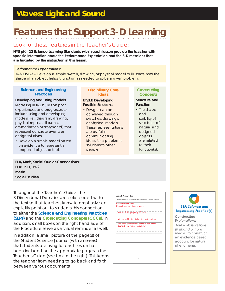# **Features that Support 3-D Learning**

## *Look for these features in the Teacher's Guide:*

**NYS pK – 12 Science Learning Standards within each lesson provide the teacher with**  specific information about the Performance Expectation and the 3-Dimensions that **are targeted by the instruction in this lesson.**

#### **Performance Expectations:**

**K-2-ETS1-2** – Develop a simple sketch, drawing, or physical model to illustrate how the shape of an object helps it function as needed to solve a given problem.

#### **Science and Engineering Practices**

#### **Developing and Using Models**

Modeling in K-2 builds on prior experiences and progresses to include using and developing models (i.e., diagram, drawing, physical replica, diorama, dramatization or storyboard) that represent concrete events or design solutions.

• Develop a simple model based on evidence to represent a proposed object or tool.

#### **ELA/Math/Social Studies Connections: ELA:** 1SL1, 1W2 **Math: Social Studies:**

#### Throughout the Teacher's Guide, the 3-Dimensional Domains are color coded within the text so that teachers know to emphasize or explicitly point out to students this connection to either the **Science and Engineering Practices (SEPs)** and the **Crosscutting Concepts (CCCs)**. In addition, small boxes on the right hand side of the Procedure serve as a visual reminder as well.

In addition, a small picture of the page(s) of the Student Science Journal (with answers) that students are using for each lesson has been included on the appropriate pages in the Teacher's Guide (see box to the right). This keeps the teacher from needing to go back and forth between various documents





#### Constructing  $Explanations:$

 *Make observations (firsthand or from media) to construct an evidence based account for natural phenomena.*

#### **Disciplinary Core Ideas**

#### **ETS1.B Developing Possible Solutions**

• Designs can be conveyed through sketches, drawings, or physical models. These representations are useful in communicating ideas for a problem's solutions to other people.

### **Crosscutting Concepts**

#### **Structure and Function**

• The shape and stability of structures of natural and designed objects are related to their function(s).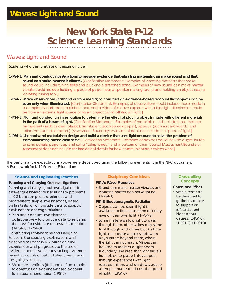# **New York State P-12 Science Learning Standards**

*Waves: Light and Sound*

Students who demonstrate understanding can:

- **1-PS4-1. Plan and conduct investigations to provide evidence that vibrating materials can make sound and that**  sound can make materials vibrate. [Clarification Statement: Examples of vibrating materials that make sound could include tuning forks and plucking a stretched string. Examples of how sound can make matter vibrate could include holding a piece of paper near a speaker making sound and holding an object near a vibrating tuning fork.]
- 1-PS4-2. Make observations (firsthand or from media) to construct an evidence-based account that objects can be **seen only when illuminated.** [Clarification Statement: Examples of observations could include those made in a completely dark room, a pinhole box, and a video of a cave explorer with a flashlight. Illumination could be from an external light source or by an object giving off its own light.]
- 1-PS4-3. Plan and conduct an investigation to determine the effect of placing objects made with different materials **in the path of a beam of light**. [Clarification Statement: Examples of materials could include those that are transparent (such as clear plastic), translucent (such as wax paper), opaque (such as cardboard), and reflective (such as a mirror).] [Assessment Boundary: Assessment does not include the speed of light.]
- **1-PS4-4. Use tools and materials to design and build a device that uses light or sound to solve the problem of communicating over a distance.\*** [Clarification Statement: Examples of devices could include a light source to send signals, paper cup and string "telephones," and a pattern of drum beats.] [Assessment Boundary: Assessment does not include technological details for how communication devices work.]

The performance expectations above were developed using the following elements from the NRC document *A Framework for K-12 Science Education:*

#### **Science and Engineering Practices**

#### **Planning and Carrying Out Investigations**

Planning and carrying out investigations to answer questions or test solutions to problems in K–2 builds on prior experiences and progresses to simple investigations, based on fair tests, which provide data to support explanations or design solutions.

• Plan and conduct investigations collaboratively to produce data to serve as the basis for evidence to answer a question. (1-PS4-1),(1-PS4-3)

Constructing Explanations and Designing Solutions Constructing explanations and designing solutions in K–2 builds on prior experiences and progresses to the use of evidence and ideas in constructing evidencebased accounts of natural phenomena and designing solutions.

• Make observations (firsthand or from media) to construct an evidence-based account for natural phenomena (1-PS42)

#### **Disciplinary Core Ideas**

#### **PS4.A: Wave Properties**

• Sound can make matter vibrate, and vibrating matter can make sound. (1-PS4-1)

#### **PS4.B: Electromagnetic Radiation**

- Objects can be seen if light is available to illuminate them or if they give off their own light. (1-PS4-2)
- Some materials allow light to pass through them, others allow only some light through and others block all the light and create a dark shadow on any surface beyond them, where the light cannot reach. Mirrors can be used to redirect a light beam. (Boundary: The idea that light travels from place to place is developed through experiences with light sources, mirrors, and shadows, but no attempt is made to discuss the speed of light.) (1PS4-3)

#### **Crosscutting Concepts**

#### **Cause and Effect**

• Simple tests can be designed to gather evidence to support or refute student ideas about causes. (1-PS4-1), (1-PS4-2), (1-PS4-3)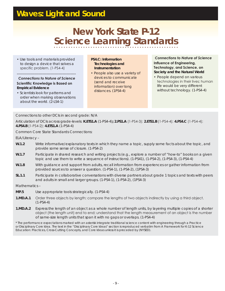# **New York State P-12 Science Learning Standards**

• Use tools and materials provided to design a device that solves a specific problem. (1-PS4-4)

-------------------------------------------- **Connections to Nature of Science Scientific Knowledge is Based on Empirical Evidence**

• Scientists look for patterns and order when making observations about the world. (2-LS4-1)

**PS4.C: Information Technologies and Instrumentation** 

• People also use a variety of devices to communicate (send and receive information) over long distances. (1PS4-4)

**Connections to Nature of Science Influence of Engineering,** Technology, and Science, on **Society and the Natural World**

• People depend on various technologies in their lives; human life would be very different without technology. (1-PS4-4)

#### *Connections to other DCIs in second grade:* N/A

Articulation of DCIs across grade-levels: **K.ETS1.A** (1-PS4-4); 2.PS1.A (1-PS4-3); 2.ETS1.B (1-PS4-4); 4.PS4.C (1-PS4-4); **4.PS4.B** (1-PS4-2); **4.ETS1.A** (1-PS4-4)

*Common Core State Standards Connections:*

*ELA/Literacy –*

- **W.1.2** Write informative/explanatory texts in which they name a topic, supply some facts about the topic, and provide some sense of closure. (1-PS4-2)
- **W.1.7** Participate in shared research and writing projects (e.g., explore a number of "how-to" books on a given topic and use them to write a sequence of instructions). (1-PS41), (1-PS4-2), (1-PS4-3), (1-PS4-4)
- **W.1.8** With guidance and support from adults, recall information from experiences or gather information from provided sources to answer a question. (1-PS4-1), (1-PS4-2), (1PS4-3)
- **SL.1.1** Participate in collaborative conversations with diverse partners about grade 1 topics and texts with peers and adults in small and larger groups. (1-PS4-1), (1-PS4-2), (1PS4-3)

*Mathematics –*

- **MP.5** Use appropriate tools strategically. (1-PS4-4)
- 1.MD.A.1 Order three objects by length; compare the lengths of two objects indirectly by using a third object. (1-PS4-4)
- **1.MD.A.2** Express the length of an object as a whole number of length units, by layering multiple copies of a shorter object (the length unit) end to end; understand that the length measurement of an object is the number of same-size length units that span it with no gaps or overlaps. (1-PS4-4)

\* The performance expectations marked with an asterisk integrate traditional science content with engineering through a Practice or Disciplinary Core Idea. The text in the "Disciplinary Core Ideas" section is reproduced verbatim from A Framework for K-12 Science Education: Practices, Cross-Cutting Concepts, and Core Ideas unless it is preceded by (NYSED).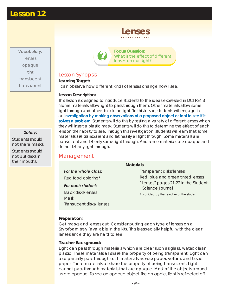## **Lesson 12**

# **Lenses**

#### **Vocabulary:**

*lenses opaque tint translucent transparent*



**Focus Question:** *What is the effect of different lenses on our sight?*

### *Lesson Synopsis*

**Learning Target:** I can observe how different kinds of lenses change how I see.

#### **Lesson Description:**

This lesson is designed to introduce students to the ideas expressed in DCI PS4.B "some materials allow light to pass through them. Other materials allow some light through and others block the light."In this lesson, students will engage in an **investigation** by making observations of a proposed object or tool to see If it solves a problem. Students will do this by testing a variety of different lenses which they will insert a plastic mask. Students will do this to determine the effect of each lens on their ability to see. Through this investigation, students will learn that some materials are transparent and let nearly all light through. Some materials are translucent and let only some light through. And some materials are opaque and do not let any light through.

## *Management*

For the whole class: Red food coloring\* For each student:

Black disks/lenses **Mask** Translucent disks/ lenses

#### **Materials**

Transparent disks/lenses Red, blue and green tinted lenses "Lenses" pages 21-22 in the Student Science Journal \* provided by the teacher or the student

#### **Preparation:**

Get masks and lenses out. Consider putting each type of lenses on a Styrofoam tray (available in the kit). This is especially helpful with the clear lenses since they are hard to see

#### **Teacher Background:**

Light can pass through materials which are clear such as glass, water, clear plastic. These materials all share the property of being transparent. Light can also partially pass through such materials as wax paper, vellum, and tissue paper. These materials all share the property of being translucent. Light cannot pass through materials that are opaque. Most of the objects around us are opaque. To see an opaque object like an apple, light is reflected off

### Safety:

*Students should not share masks.*

*Students should not put disks in their mouths.*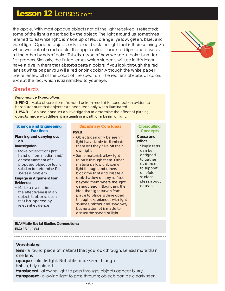the apple. With most opaque objects not all the light received is reflected; some of the light is absorbed by the object. The light around us, sometimes referred to as white light, is made up of red, orange, yellow, green, blue, and violet light. Opaque objects only reflect back the light that is their coloring. So when we look at a red apple, the apple reflects back red light and absorbs all the other bands of color. This discussion of how we see in color is not for first araders. Similarly, the tinted lenses which students will use in this lesson, have a dye in them that absorbs certain colors. If you look through the red lens at white paper you will a red or pink color. Although the white paper has reflected all of the colors of the spectrum, the red lens absorbs all colors except the red, which is transmitted to your eye.

### *Standards*

#### **Performance Expectations:**

**1-PS4-2** – Make observations (firsthand or from media) to construct an evidencebased account that objects can been seen only when illuminated. **1-PS4-3** – Plan and conduct an investigation to determine the effect of placing objects made with different materials in a path of a beam of light.

#### **Science and Engineering Practices**

#### **Planning and carrying out an**

#### **investigation.**

• Make observations (first hand or from media) and/ or measurement of a proposed object or tool or solution to determine if it solves a problem.

#### **Engage in Argument from Evidence**

• Make a claim about the effectiveness of an object, tool, or solution that is supported by relevant evidence.

## **Disciplinary Core Ideas**

#### **PS4.B**

- Objects can only be seen if light is available to illuminate them or if they give off their own light.
- Some materials allow light to pass through them. Other materials allow only some light through and others block the light and create a dark shadow on any surface beyond them where the light cannot reach.(Boundary: the idea that light travels from place to place is developed through experiences with light sources, mirrors, and shadows, but no attempt is made to discuss the speed of light.

#### **Crosscutting Concepts**

#### **Cause and effect**

• Simple tests can be designed to gather evidence to support or refute student ideas about causes.

### **ELA/Math/Social Studies Connections:**

#### **ELA:** 1SL1, 1W4

**Vocabulary:**

**lens** - a round piece of material that you look through. Lenses more than one lens

**opaque** - blocks light. Not able to be seen through

**tint** - lightly colored

translucent - allowing light to pass through; objects appear blurry. transparent - allowing light to pass through; objects can be clearly seen.

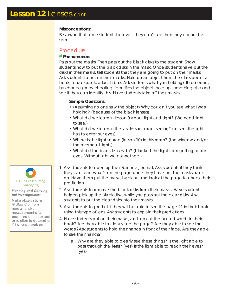#### **Misconceptions:**

Be aware that some students believe If they can't see then they cannot be seen.

### *Procedure*

#### **Phenomenon:**

Pass out the masks. Then pass out the black disks to the student. Show students how to put the black disks in the mask. Once students have put the disks in their masks, tell students that they are going to put on their masks. Ask students to put on their masks. Hold up an object from the classroom – a book, a backpack, a lunch box. Ask students what you holding? If someone, by chance (or by cheating) identifies the object, hold up something else and see if they can identify this. Have students take off their masks.

#### **Sample Questions:**

- (Assuming no one saw the object) Why couldn't you see what I was holding? (because of the black lenses)
- What did we learn in lesson 9 about light and sight? (We need light to see.)
- What did we learn in the last lesson about seeing? (to see, the light has to enter our eyes)
- Where is the light source (lesson 10) in this room? (the window and/or the overhead lights)
- What did the black lenses do? (blocked the light from getting to our eyes. Without light we cannot see.)
- 1. Ask students to open up their Science Journal. Ask students if they think they can read what's on the page once they have put the masks back on. Have them put the masks back on and look at the page to check their prediction.
- 2. Ask students to remove the black disks from their masks. Have student helpers pick up the black disks while you pass out the clear disks. Ask students to put the clear disks into their masks.
- 3. Ask students to predict if they will be able to see the page 21 in their book using this type of lens. Ask students to explain their predictions.
- 4. Have students put on their masks, and look at the printed words in their book? Are they able to clearly see the page? Are they able to see the words ?Ask students to hold their hands in front of their face. Are they able to see their hands?
	- a. Why are they able to clearly see these things? Is the light able to pass through the **lens**? (yes) Is the light able to reach their eyes? (yes)



#### *Planning and Carrying* out Investigations:

*Make observations (firsthand or from media) and/or measurement of a proposed object or tool or solution to determine if it solves a problem.*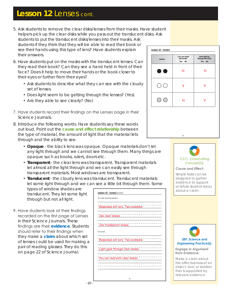- 5. Ask students to remove the clear disks/lenses from their masks. Have student helpers pick up the clear disks while you pass out the translucent disks. Ask students to put the translucent disks/lenses into their masks. Ask students if they think that they will be able to read their book or see their hands using this type of lens? Have students explain their answers.
- 6. Have students put on the masks with the translucent lenses. Can they read their book? Can they see a hand held in front of their face? Does it help to move their hands or the book closer to their eyes or further from their eyes?
	- Ask students to describe what they can see with the cloudy set of lenses.
	- Does light seem to be getting through the lenses? (Yes)
	- Are they able to see clearly? (No)
- 7. Have students record their findings on the Lenses page in their Science Journals.
- 8. Introduce the following words. Have students say these words out loud. Point out the **cause and effect relationship** between the type of material, the amount of light that the material lets through and the ability to see.
	- **Opaque** the black lens was opaque. Opaque materials don't let any light through and we cannot see through them. Many things are opaque such as books, rulers, doors etc.
	- **Transparent** the clear lens was transparent. Transparent materials let almost all the light through and we can easily see through transparent materials. Most windows are transparent.
	- **Translucent** the cloudy lens was translucent. Translucent materials let some light through and we can see a little bit through them. Some

types of window shades are translucent. They let some light through but not all light.

9. Have students look at their findings recorded on the first page of Lenses in their Science Journals. These findings are their evidence. Students should refer to their findings when they make a **claim** about which set of lenses could be used for making a pair of reading glasses. They do this on page 22 of Science Journal.





21



**Cause and Effect:** 

*Simple tests can be designed to gather evidence to support or refute student ideas about a claim.*



*Make a claim about the effectiveness of an object, tool, or solution that is supported by relevant evidence.*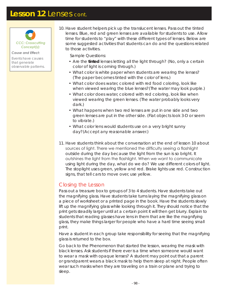

**Cause and Effect:** *Events have causes that generate observable patterns.* 10. Have student helpers pick up the translucent lenses. Pass out the tinted lenses. Blue, red and green lenses are available for students to use. Allow time for students to "play" with these different types of lenses. Below are some suggested activities that students can do and the questions related to those activities.

Sample Questions:

- Are the **tinted** lenses letting all the light through? (No, only a certain color of light is coming through.)
- What color is white paper when students are wearing the lenses? (The paper becomes tinted with the color of lens.)
- What color does water, colored with red food coloring, look like when viewed wearing the blue lenses?(The water may look purple.)
- What color does water, colored with red coloring, look like when viewed wearing the green lenses. (The water probably looks very dark.)
- What happens when two red lenses are put in one side and two green lenses are put in the other side. (Flat objects look 3-D or seem to vibrate.)
- What color lens would students use on a very bright sunny day?(Accept any reasonable answer.)
- 11. Have students think about the conversation at the end of lesson 10 about sources of light. There we mentioned the difficulty seeing a flashlight outside during the day because the light from the sun is so bright. It outshines the light from the flashlight. When we want to communicate using light during the day, what do we do? We use different colors of light. The stoplight uses green, yellow and red. Brake lights use red. Construction signs, that tell cars to move over, use yellow.

### *Closing the Lesson*

Pass out a treasure box to groups of 3 to 4 students. Have students take out the magnifying glass. Have students take turns laying the magnifying glass on a piece of worksheet or a printed page in the book. Have the students slowly lift up the magnifying glass while looking through it. They should notice that the print gets steadily larger until at a certain point it will then get blurry. Explain to students that reading glasses have lens in them that are like the magnifying glass, they make things larger for people who have a hard time seeing small print.

Have a student in each group take responsibility for seeing that the magnifying glass is returned to the box.

Go back to the Phenomenon that started the lesson, wearing the mask with black lenses. Ask students if there ever is a time when someone would want to wear a mask with opaque lenses? A student may point out that a parent or grandparent wears a black mask to help them sleep at night. People often wear such masks when they are traveling on a train or plane and trying to sleep.